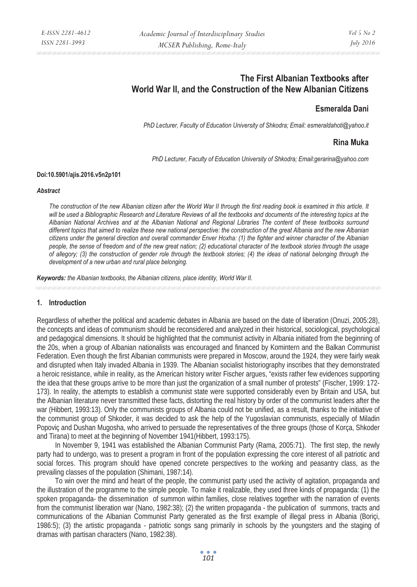# **The First Albanian Textbooks after World War II, and the Construction of the New Albanian Citizens**

# **Esmeralda Dani**

*PhD Lecturer, Faculty of Education University of Shkodra; Email: esmeraldahoti@yahoo.it* 

## **Rina Muka**

*PhD Lecturer, Faculty of Education University of Shkodra; Email:gerarina@yahoo.com* 

#### **Doi:10.5901/ajis.2016.v5n2p101**

#### *Abstract*

*The construction of the new Albanian citizen after the World War II through the first reading book is examined in this article. It*  will be used a Bibliographic Research and Literature Reviews of all the textbooks and documents of the interesting topics at the *Albanian National Archives and at the Albanian National and Regional Libraries The content of these textbooks surround different topics that aimed to realize these new national perspective: the construction of the great Albania and the new Albanian citizens under the general direction and overall commander Enver Hoxha: (1) the fighter and winner character of the Albanian people, the sense of freedom and of the new great nation; (2) educational character of the textbook stories through the usage of allegory; (3) the construction of gender role through the textbook stories; (4) the ideas of national belonging through the development of a new urban and rural place belonging.* 

*Keywords: the Albanian textbooks, the Albanian citizens, place identity, World War II.*

#### **1. Introduction**

Regardless of whether the political and academic debates in Albania are based on the date of liberation (Onuzi, 2005:28), the concepts and ideas of communism should be reconsidered and analyzed in their historical, sociological, psychological and pedagogical dimensions. It should be highlighted that the communist activity in Albania initiated from the beginning of the 20s, when a group of Albanian nationalists was encouraged and financed by Komintern and the Balkan Communist Federation. Even though the first Albanian communists were prepared in Moscow, around the 1924, they were fairly weak and disrupted when Italy invaded Albania in 1939. The Albanian socialist historiography inscribes that they demonstrated a heroic resistance, while in reality, as the American history writer Fischer argues, "exists rather few evidences supporting the idea that these groups arrive to be more than just the organization of a small number of protests" (Fischer, 1999: 172- 173). In reality, the attempts to establish a communist state were supported considerably even by Britain and USA, but the Albanian literature never transmitted these facts, distorting the real history by order of the communist leaders after the war (Hibbert, 1993:13). Only the communists groups of Albania could not be unified, as a result, thanks to the initiative of the communist group of Shkoder, it was decided to ask the help of the Yugoslavian communists, especially of Miladin Popoviç and Dushan Mugosha, who arrived to persuade the representatives of the three groups (those of Korça, Shkoder and Tirana) to meet at the beginning of November 1941(Hibbert, 1993:175).

In November 9, 1941 was established the Albanian Communist Party (Rama, 2005:71). The first step, the newly party had to undergo, was to present a program in front of the population expressing the core interest of all patriotic and social forces. This program should have opened concrete perspectives to the working and peasantry class, as the prevailing classes of the population (Shimani, 1987:14).

To win over the mind and heart of the people, the communist party used the activity of agitation, propaganda and the illustration of the programme to the simple people. To make it realizable, they used three kinds of propaganda: (1) the spoken propaganda- the dissemination of summon within families, close relatives together with the narration of events from the communist liberation war (Nano, 1982:38); (2) the written propaganda - the publication of summons, tracts and communications of the Albanian Communist Party generated as the first example of illegal press in Albania (Boriçi, 1986:5); (3) the artistic propaganda - patriotic songs sang primarily in schools by the youngsters and the staging of dramas with partisan characters (Nano, 1982:38).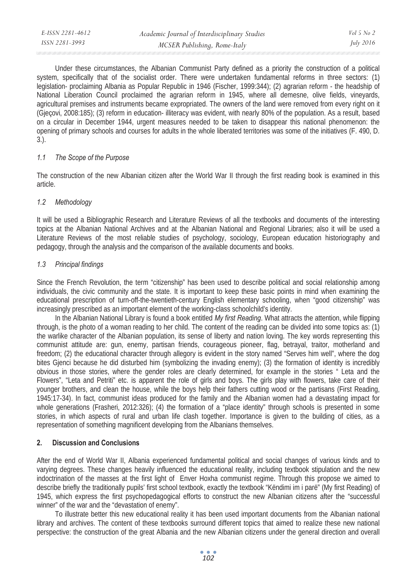| E-ISSN 2281-4612 | Academic Journal of Interdisciplinary Studies | $Vol_5$ No 2     |
|------------------|-----------------------------------------------|------------------|
| ISSN 2281-3993   | MCSER Publishing, Rome-Italy                  | <i>July 2016</i> |

Under these circumstances, the Albanian Communist Party defined as a priority the construction of a political system, specifically that of the socialist order. There were undertaken fundamental reforms in three sectors: (1) legislation- proclaiming Albania as Popular Republic in 1946 (Fischer, 1999:344); (2) agrarian reform - the headship of National Liberation Council proclaimed the agrarian reform in 1945, where all demesne, olive fields, vineyards, agricultural premises and instruments became expropriated. The owners of the land were removed from every right on it (Gjeçovi, 2008:185); (3) reform in education- illiteracy was evident, with nearly 80% of the population. As a result, based on a circular in December 1944, urgent measures needed to be taken to disappear this national phenomenon: the opening of primary schools and courses for adults in the whole liberated territories was some of the initiatives (F. 490, D. 3.).

#### *1.1 The Scope of the Purpose*

The construction of the new Albanian citizen after the World War II through the first reading book is examined in this article.

### *1.2 Methodology*

It will be used a Bibliographic Research and Literature Reviews of all the textbooks and documents of the interesting topics at the Albanian National Archives and at the Albanian National and Regional Libraries; also it will be used a Literature Reviews of the most reliable studies of psychology, sociology, European education historiography and pedagogy, through the analysis and the comparison of the available documents and books.

#### *1.3 Principal findings*

Since the French Revolution, the term "citizenship" has been used to describe political and social relationship among individuals, the civic community and the state. It is important to keep these basic points in mind when examining the educational prescription of turn-off-the-twentieth-century English elementary schooling, when "good citizenship" was increasingly prescribed as an important element of the working-class schoolchild's identity.

In the Albanian National Library is found a book entitled *My first Reading*. What attracts the attention, while flipping through, is the photo of a woman reading to her child. The content of the reading can be divided into some topics as: (1) the warlike character of the Albanian population, its sense of liberty and nation loving. The key words representing this communist attitude are: gun, enemy, partisan friends, courageous pioneer, flag, betrayal, traitor, motherland and freedom; (2) the educational character through allegory is evident in the story named "Serves him well", where the dog bites Gjenci because he did disturbed him (symbolizing the invading enemy); (3) the formation of identity is incredibly obvious in those stories, where the gender roles are clearly determined, for example in the stories " Leta and the Flowers", "Leta and Petriti" etc. is apparent the role of girls and boys. The girls play with flowers, take care of their younger brothers, and clean the house, while the boys help their fathers cutting wood or the partisans (First Reading, 1945:17-34). In fact, communist ideas produced for the family and the Albanian women had a devastating impact for whole generations (Frasheri, 2012:326); (4) the formation of a "place identity" through schools is presented in some stories, in which aspects of rural and urban life clash together. Importance is given to the building of cities, as a representation of something magnificent developing from the Albanians themselves.

### **2. Discussion and Conclusions**

After the end of World War II, Albania experienced fundamental political and social changes of various kinds and to varying degrees. These changes heavily influenced the educational reality, including textbook stipulation and the new indoctrination of the masses at the first light of Enver Hoxha communist regime. Through this propose we aimed to describe briefly the traditionally pupils' first school textbook, exactly the textbook "Këndimi im i parë" (My first Reading) of 1945, which express the first psychopedagogical efforts to construct the new Albanian citizens after the "successful winner" of the war and the "devastation of enemy".

To illustrate better this new educational reality it has been used important documents from the Albanian national library and archives. The content of these textbooks surround different topics that aimed to realize these new national perspective: the construction of the great Albania and the new Albanian citizens under the general direction and overall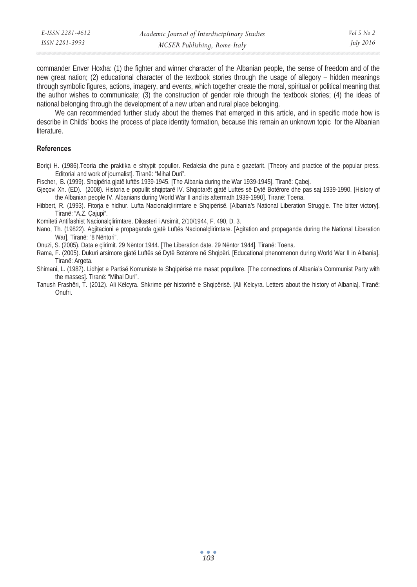| E-ISSN 2281-4612 | Academic Journal of Interdisciplinary Studies | Vol 5 No 2       |
|------------------|-----------------------------------------------|------------------|
| ISSN 2281-3993   | MCSER Publishing, Rome-Italy                  | <i>July 2016</i> |

commander Enver Hoxha: (1) the fighter and winner character of the Albanian people, the sense of freedom and of the new great nation; (2) educational character of the textbook stories through the usage of allegory – hidden meanings through symbolic figures, actions, imagery, and events, which together create the moral, spiritual or political meaning that the author wishes to communicate; (3) the construction of gender role through the textbook stories; (4) the ideas of national belonging through the development of a new urban and rural place belonging.

We can recommended further study about the themes that emerged in this article, and in specific mode how is describe in Childs' books the process of place identity formation, because this remain an unknown topic for the Albanian literature.

#### **References**

Boriçi H. (1986).Teoria dhe praktika e shtypit popullor. Redaksia dhe puna e gazetarit. [Theory and practice of the popular press. Editorial and work of journalist]. Tiranë: "Mihal Duri".

Fischer, B. (1999). Shqipëria gjatë luftës 1939-1945. [The Albania during the War 1939-1945]. Tiranë: Çabej.

Gjecovi Xh. (ED). (2008). Historia e popullit shqiptarë IV. Shqiptarët gjatë Luftës së Dytë Botërore dhe pas saj 1939-1990. [History of the Albanian people IV. Albanians during World War II and its aftermath 1939-1990]. Tiranë: Toena.

Hibbert, R. (1993). Fitorja e hidhur. Lufta Nacionalçlirimtare e Shqipërisë. [Albania's National Liberation Struggle. The bitter victory]. Tiranë: "A.Z. Çajupi".

Komiteti Antifashist Nacionalçlirimtare. Dikasteri i Arsimit, 2/10/1944, F. 490, D. 3.

Nano, Th. (19822). Agjitacioni e propaganda gjatë Luftës Nacionalçlirimtare. [Agitation and propaganda during the National Liberation War], Tiranë: "8 Nëntori".

Onuzi, S. (2005). Data e çlirimit. 29 Nëntor 1944. [The Liberation date. 29 Nëntor 1944]. Tiranë: Toena.

Rama, F. (2005). Dukuri arsimore gjatë Luftës së Dytë Botërore në Shqipëri. [Educational phenomenon during World War II in Albania]. Tiranë: Argeta.

Shimani, L. (1987). Lidhjet e Partisë Komuniste te Shqipërisë me masat popullore. [The connections of Albania's Communist Party with the masses]. Tiranë: "Mihal Duri".

Tanush Frashëri, T. (2012). Ali Këlcyra. Shkrime për historinë e Shqipërisë. [Ali Kelcyra. Letters about the history of Albania]. Tiranë: Onufri.